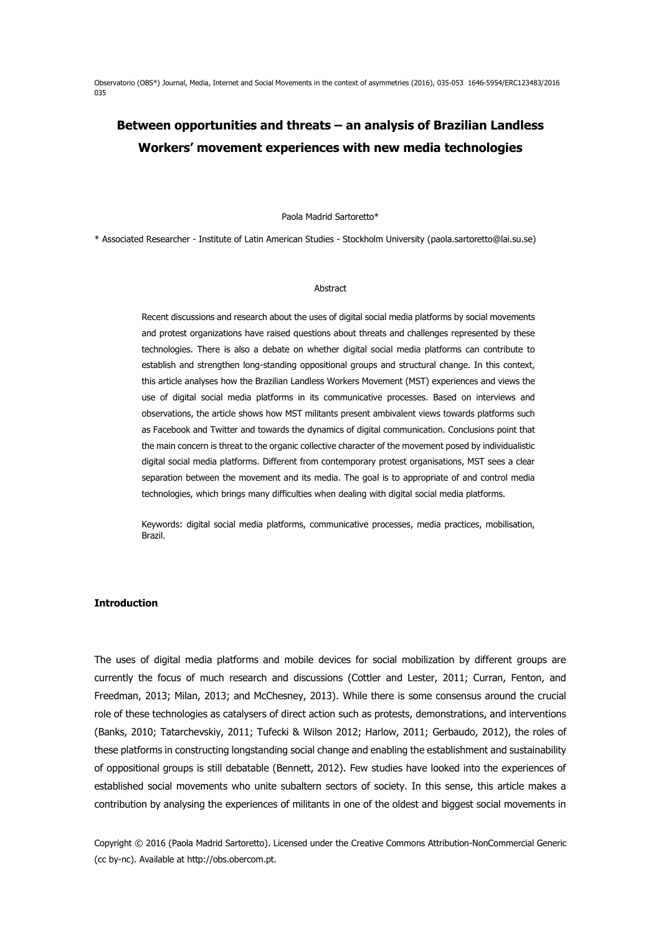Observatorio (OBS\*) Journal, Media, Internet and Social Movements in the context of asymmetries (2016), 035-053 1646-5954/ERC123483/2016 035

# **Between opportunities and threats – an analysis of Brazilian Landless Workers' movement experiences with new media technologies**

Paola Madrid Sartoretto\*

\* Associated Researcher - Institute of Latin American Studies - Stockholm University (paola.sartoretto@lai.su.se)

#### Abstract

Recent discussions and research about the uses of digital social media platforms by social movements and protest organizations have raised questions about threats and challenges represented by these technologies. There is also a debate on whether digital social media platforms can contribute to establish and strengthen long-standing oppositional groups and structural change. In this context, this article analyses how the Brazilian Landless Workers Movement (MST) experiences and views the use of digital social media platforms in its communicative processes. Based on interviews and observations, the article shows how MST militants present ambivalent views towards platforms such as Facebook and Twitter and towards the dynamics of digital communication. Conclusions point that the main concern is threat to the organic collective character of the movement posed by individualistic digital social media platforms. Different from contemporary protest organisations, MST sees a clear separation between the movement and its media. The goal is to appropriate of and control media technologies, which brings many difficulties when dealing with digital social media platforms.

Keywords: digital social media platforms, communicative processes, media practices, mobilisation, Brazil.

### **Introduction**

The uses of digital media platforms and mobile devices for social mobilization by different groups are currently the focus of much research and discussions (Cottler and Lester, 2011; Curran, Fenton, and Freedman, 2013; Milan, 2013; and McChesney, 2013). While there is some consensus around the crucial role of these technologies as catalysers of direct action such as protests, demonstrations, and interventions (Banks, 2010; Tatarchevskiy, 2011; Tufecki & Wilson 2012; Harlow, 2011; Gerbaudo, 2012), the roles of these platforms in constructing longstanding social change and enabling the establishment and sustainability of oppositional groups is still debatable (Bennett, 2012). Few studies have looked into the experiences of established social movements who unite subaltern sectors of society. In this sense, this article makes a contribution by analysing the experiences of militants in one of the oldest and biggest social movements in

Copyright © 2016 (Paola Madrid Sartoretto). Licensed under the Creative Commons Attribution-NonCommercial Generic (cc by-nc). Available at http://obs.obercom.pt.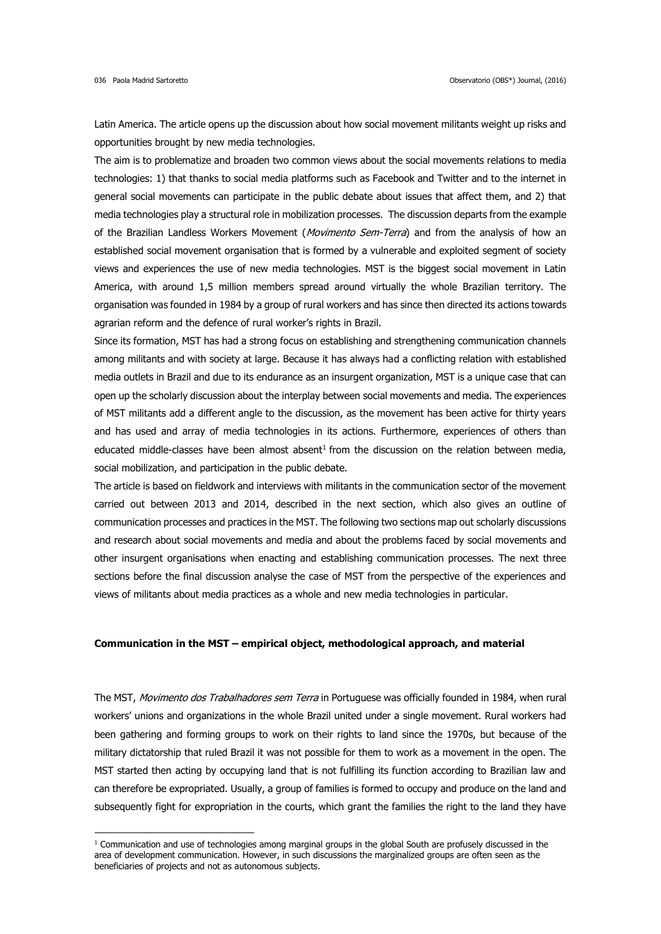1

Latin America. The article opens up the discussion about how social movement militants weight up risks and opportunities brought by new media technologies.

The aim is to problematize and broaden two common views about the social movements relations to media technologies: 1) that thanks to social media platforms such as Facebook and Twitter and to the internet in general social movements can participate in the public debate about issues that affect them, and 2) that media technologies play a structural role in mobilization processes. The discussion departs from the example of the Brazilian Landless Workers Movement (Movimento Sem-Terra) and from the analysis of how an established social movement organisation that is formed by a vulnerable and exploited segment of society views and experiences the use of new media technologies. MST is the biggest social movement in Latin America, with around 1,5 million members spread around virtually the whole Brazilian territory. The organisation was founded in 1984 by a group of rural workers and has since then directed its actions towards agrarian reform and the defence of rural worker's rights in Brazil.

Since its formation, MST has had a strong focus on establishing and strengthening communication channels among militants and with society at large. Because it has always had a conflicting relation with established media outlets in Brazil and due to its endurance as an insurgent organization, MST is a unique case that can open up the scholarly discussion about the interplay between social movements and media. The experiences of MST militants add a different angle to the discussion, as the movement has been active for thirty years and has used and array of media technologies in its actions. Furthermore, experiences of others than educated middle-classes have been almost absent<sup>1</sup> from the discussion on the relation between media, social mobilization, and participation in the public debate.

The article is based on fieldwork and interviews with militants in the communication sector of the movement carried out between 2013 and 2014, described in the next section, which also gives an outline of communication processes and practices in the MST. The following two sections map out scholarly discussions and research about social movements and media and about the problems faced by social movements and other insurgent organisations when enacting and establishing communication processes. The next three sections before the final discussion analyse the case of MST from the perspective of the experiences and views of militants about media practices as a whole and new media technologies in particular.

#### **Communication in the MST – empirical object, methodological approach, and material**

The MST, Movimento dos Trabalhadores sem Terra in Portuguese was officially founded in 1984, when rural workers' unions and organizations in the whole Brazil united under a single movement. Rural workers had been gathering and forming groups to work on their rights to land since the 1970s, but because of the military dictatorship that ruled Brazil it was not possible for them to work as a movement in the open. The MST started then acting by occupying land that is not fulfilling its function according to Brazilian law and can therefore be expropriated. Usually, a group of families is formed to occupy and produce on the land and subsequently fight for expropriation in the courts, which grant the families the right to the land they have

 $1$  Communication and use of technologies among marginal groups in the global South are profusely discussed in the area of development communication. However, in such discussions the marginalized groups are often seen as the beneficiaries of projects and not as autonomous subjects.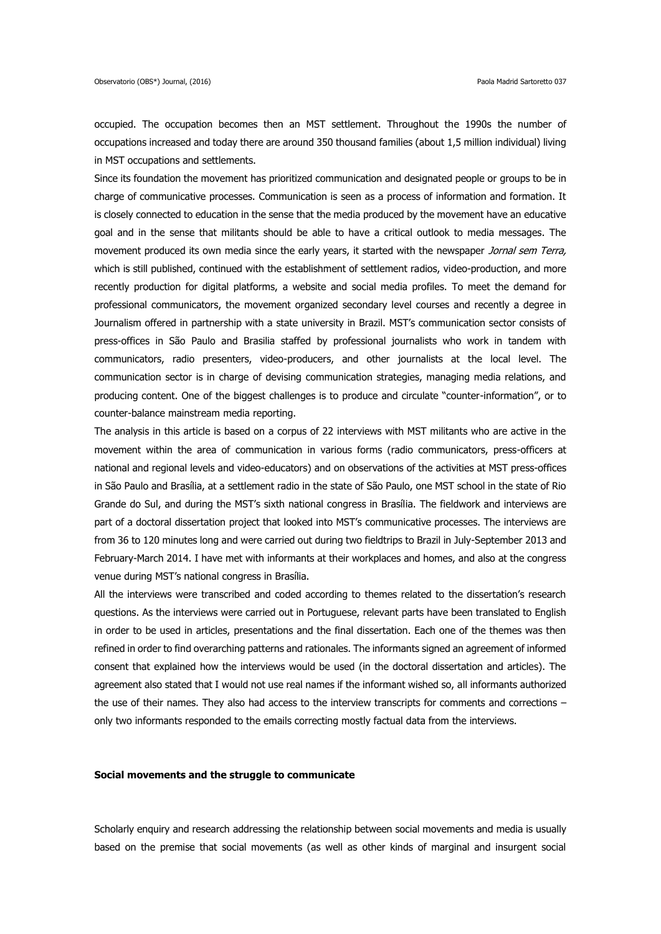occupied. The occupation becomes then an MST settlement. Throughout the 1990s the number of occupations increased and today there are around 350 thousand families (about 1,5 million individual) living in MST occupations and settlements.

Since its foundation the movement has prioritized communication and designated people or groups to be in charge of communicative processes. Communication is seen as a process of information and formation. It is closely connected to education in the sense that the media produced by the movement have an educative goal and in the sense that militants should be able to have a critical outlook to media messages. The movement produced its own media since the early years, it started with the newspaper Jornal sem Terra, which is still published, continued with the establishment of settlement radios, video-production, and more recently production for digital platforms, a website and social media profiles. To meet the demand for professional communicators, the movement organized secondary level courses and recently a degree in Journalism offered in partnership with a state university in Brazil. MST's communication sector consists of press-offices in São Paulo and Brasilia staffed by professional journalists who work in tandem with communicators, radio presenters, video-producers, and other journalists at the local level. The communication sector is in charge of devising communication strategies, managing media relations, and producing content. One of the biggest challenges is to produce and circulate "counter-information", or to counter-balance mainstream media reporting.

The analysis in this article is based on a corpus of 22 interviews with MST militants who are active in the movement within the area of communication in various forms (radio communicators, press-officers at national and regional levels and video-educators) and on observations of the activities at MST press-offices in São Paulo and Brasília, at a settlement radio in the state of São Paulo, one MST school in the state of Rio Grande do Sul, and during the MST's sixth national congress in Brasília. The fieldwork and interviews are part of a doctoral dissertation project that looked into MST's communicative processes. The interviews are from 36 to 120 minutes long and were carried out during two fieldtrips to Brazil in July-September 2013 and February-March 2014. I have met with informants at their workplaces and homes, and also at the congress venue during MST's national congress in Brasília.

All the interviews were transcribed and coded according to themes related to the dissertation's research questions. As the interviews were carried out in Portuguese, relevant parts have been translated to English in order to be used in articles, presentations and the final dissertation. Each one of the themes was then refined in order to find overarching patterns and rationales. The informants signed an agreement of informed consent that explained how the interviews would be used (in the doctoral dissertation and articles). The agreement also stated that I would not use real names if the informant wished so, all informants authorized the use of their names. They also had access to the interview transcripts for comments and corrections – only two informants responded to the emails correcting mostly factual data from the interviews.

#### **Social movements and the struggle to communicate**

Scholarly enquiry and research addressing the relationship between social movements and media is usually based on the premise that social movements (as well as other kinds of marginal and insurgent social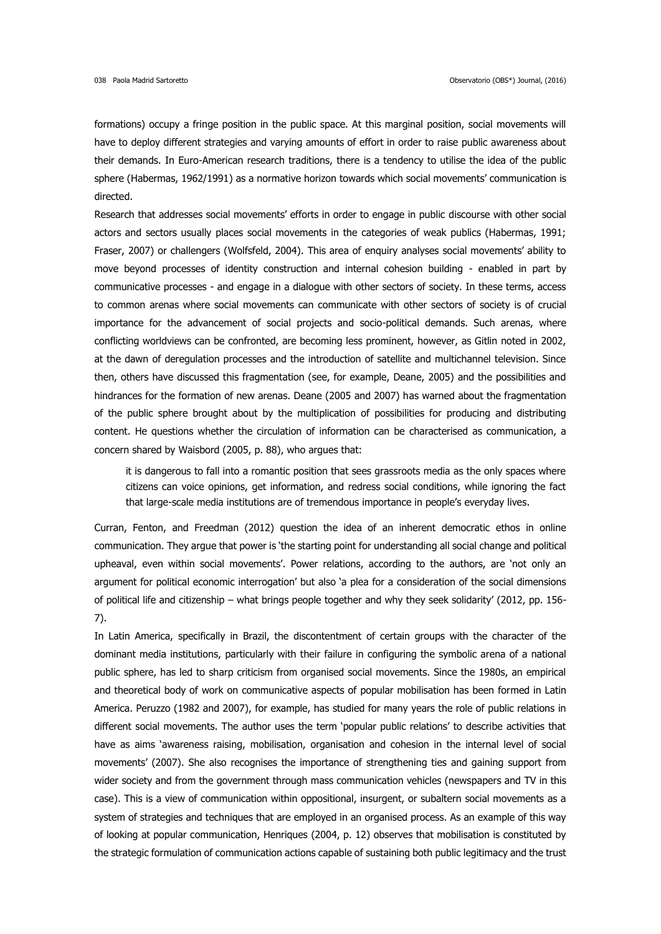formations) occupy a fringe position in the public space. At this marginal position, social movements will have to deploy different strategies and varying amounts of effort in order to raise public awareness about their demands. In Euro-American research traditions, there is a tendency to utilise the idea of the public sphere (Habermas, 1962/1991) as a normative horizon towards which social movements' communication is directed.

Research that addresses social movements' efforts in order to engage in public discourse with other social actors and sectors usually places social movements in the categories of weak publics (Habermas, 1991; Fraser, 2007) or challengers (Wolfsfeld, 2004). This area of enquiry analyses social movements' ability to move beyond processes of identity construction and internal cohesion building - enabled in part by communicative processes - and engage in a dialogue with other sectors of society. In these terms, access to common arenas where social movements can communicate with other sectors of society is of crucial importance for the advancement of social projects and socio-political demands. Such arenas, where conflicting worldviews can be confronted, are becoming less prominent, however, as Gitlin noted in 2002, at the dawn of deregulation processes and the introduction of satellite and multichannel television. Since then, others have discussed this fragmentation (see, for example, Deane, 2005) and the possibilities and hindrances for the formation of new arenas. Deane (2005 and 2007) has warned about the fragmentation of the public sphere brought about by the multiplication of possibilities for producing and distributing content. He questions whether the circulation of information can be characterised as communication, a concern shared by Waisbord (2005, p. 88), who argues that:

it is dangerous to fall into a romantic position that sees grassroots media as the only spaces where citizens can voice opinions, get information, and redress social conditions, while ignoring the fact that large-scale media institutions are of tremendous importance in people's everyday lives.

Curran, Fenton, and Freedman (2012) question the idea of an inherent democratic ethos in online communication. They argue that power is 'the starting point for understanding all social change and political upheaval, even within social movements'. Power relations, according to the authors, are 'not only an argument for political economic interrogation' but also 'a plea for a consideration of the social dimensions of political life and citizenship – what brings people together and why they seek solidarity' (2012, pp. 156- 7).

In Latin America, specifically in Brazil, the discontentment of certain groups with the character of the dominant media institutions, particularly with their failure in configuring the symbolic arena of a national public sphere, has led to sharp criticism from organised social movements. Since the 1980s, an empirical and theoretical body of work on communicative aspects of popular mobilisation has been formed in Latin America. Peruzzo (1982 and 2007), for example, has studied for many years the role of public relations in different social movements. The author uses the term 'popular public relations' to describe activities that have as aims 'awareness raising, mobilisation, organisation and cohesion in the internal level of social movements' (2007). She also recognises the importance of strengthening ties and gaining support from wider society and from the government through mass communication vehicles (newspapers and TV in this case). This is a view of communication within oppositional, insurgent, or subaltern social movements as a system of strategies and techniques that are employed in an organised process. As an example of this way of looking at popular communication, Henriques (2004, p. 12) observes that mobilisation is constituted by the strategic formulation of communication actions capable of sustaining both public legitimacy and the trust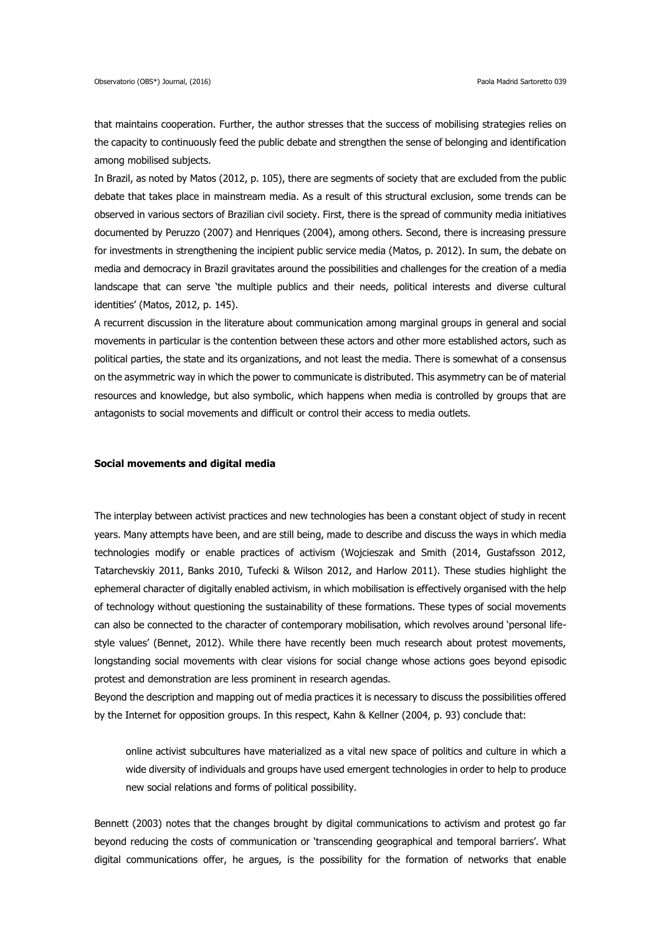that maintains cooperation. Further, the author stresses that the success of mobilising strategies relies on the capacity to continuously feed the public debate and strengthen the sense of belonging and identification among mobilised subjects.

In Brazil, as noted by Matos (2012, p. 105), there are segments of society that are excluded from the public debate that takes place in mainstream media. As a result of this structural exclusion, some trends can be observed in various sectors of Brazilian civil society. First, there is the spread of community media initiatives documented by Peruzzo (2007) and Henriques (2004), among others. Second, there is increasing pressure for investments in strengthening the incipient public service media (Matos, p. 2012). In sum, the debate on media and democracy in Brazil gravitates around the possibilities and challenges for the creation of a media landscape that can serve 'the multiple publics and their needs, political interests and diverse cultural identities' (Matos, 2012, p. 145).

A recurrent discussion in the literature about communication among marginal groups in general and social movements in particular is the contention between these actors and other more established actors, such as political parties, the state and its organizations, and not least the media. There is somewhat of a consensus on the asymmetric way in which the power to communicate is distributed. This asymmetry can be of material resources and knowledge, but also symbolic, which happens when media is controlled by groups that are antagonists to social movements and difficult or control their access to media outlets.

#### **Social movements and digital media**

The interplay between activist practices and new technologies has been a constant object of study in recent years. Many attempts have been, and are still being, made to describe and discuss the ways in which media technologies modify or enable practices of activism (Wojcieszak and Smith (2014, Gustafsson 2012, Tatarchevskiy 2011, Banks 2010, Tufecki & Wilson 2012, and Harlow 2011). These studies highlight the ephemeral character of digitally enabled activism, in which mobilisation is effectively organised with the help of technology without questioning the sustainability of these formations. These types of social movements can also be connected to the character of contemporary mobilisation, which revolves around 'personal lifestyle values' (Bennet, 2012). While there have recently been much research about protest movements, longstanding social movements with clear visions for social change whose actions goes beyond episodic protest and demonstration are less prominent in research agendas.

Beyond the description and mapping out of media practices it is necessary to discuss the possibilities offered by the Internet for opposition groups. In this respect, Kahn & Kellner (2004, p. 93) conclude that:

online activist subcultures have materialized as a vital new space of politics and culture in which a wide diversity of individuals and groups have used emergent technologies in order to help to produce new social relations and forms of political possibility.

Bennett (2003) notes that the changes brought by digital communications to activism and protest go far beyond reducing the costs of communication or 'transcending geographical and temporal barriers'. What digital communications offer, he argues, is the possibility for the formation of networks that enable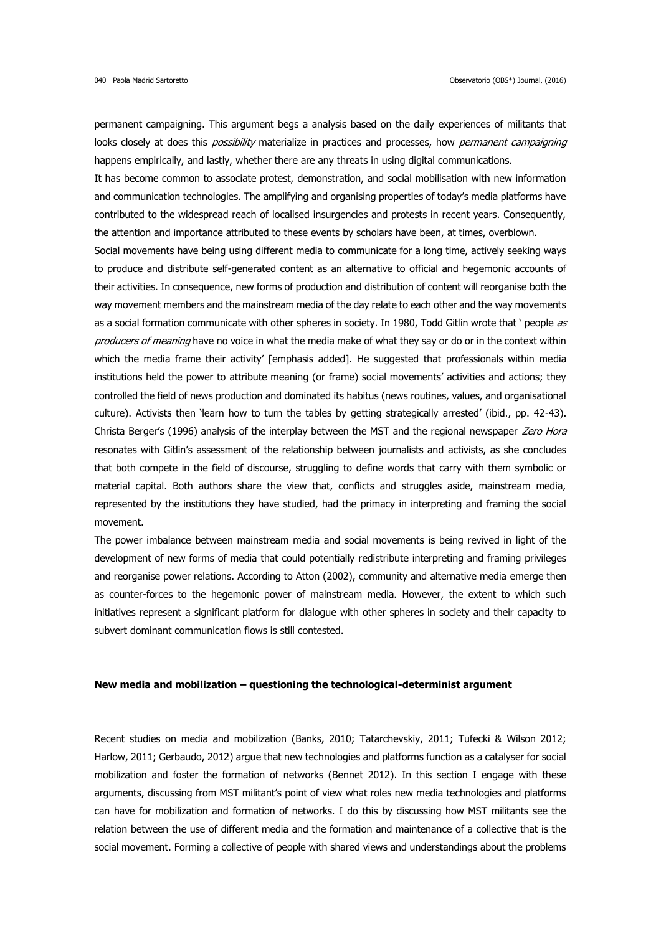permanent campaigning. This argument begs a analysis based on the daily experiences of militants that looks closely at does this *possibility* materialize in practices and processes, how *permanent campaigning* happens empirically, and lastly, whether there are any threats in using digital communications.

It has become common to associate protest, demonstration, and social mobilisation with new information and communication technologies. The amplifying and organising properties of today's media platforms have contributed to the widespread reach of localised insurgencies and protests in recent years. Consequently, the attention and importance attributed to these events by scholars have been, at times, overblown.

Social movements have being using different media to communicate for a long time, actively seeking ways to produce and distribute self-generated content as an alternative to official and hegemonic accounts of their activities. In consequence, new forms of production and distribution of content will reorganise both the way movement members and the mainstream media of the day relate to each other and the way movements as a social formation communicate with other spheres in society. In 1980, Todd Gitlin wrote that ' people as producers of meaning have no voice in what the media make of what they say or do or in the context within which the media frame their activity' [emphasis added]. He suggested that professionals within media institutions held the power to attribute meaning (or frame) social movements' activities and actions; they controlled the field of news production and dominated its habitus (news routines, values, and organisational culture). Activists then 'learn how to turn the tables by getting strategically arrested' (ibid., pp. 42-43). Christa Berger's (1996) analysis of the interplay between the MST and the regional newspaper Zero Hora resonates with Gitlin's assessment of the relationship between journalists and activists, as she concludes that both compete in the field of discourse, struggling to define words that carry with them symbolic or material capital. Both authors share the view that, conflicts and struggles aside, mainstream media, represented by the institutions they have studied, had the primacy in interpreting and framing the social movement.

The power imbalance between mainstream media and social movements is being revived in light of the development of new forms of media that could potentially redistribute interpreting and framing privileges and reorganise power relations. According to Atton (2002), community and alternative media emerge then as counter-forces to the hegemonic power of mainstream media. However, the extent to which such initiatives represent a significant platform for dialogue with other spheres in society and their capacity to subvert dominant communication flows is still contested.

## **New media and mobilization – questioning the technological-determinist argument**

Recent studies on media and mobilization (Banks, 2010; Tatarchevskiy, 2011; Tufecki & Wilson 2012; Harlow, 2011; Gerbaudo, 2012) argue that new technologies and platforms function as a catalyser for social mobilization and foster the formation of networks (Bennet 2012). In this section I engage with these arguments, discussing from MST militant's point of view what roles new media technologies and platforms can have for mobilization and formation of networks. I do this by discussing how MST militants see the relation between the use of different media and the formation and maintenance of a collective that is the social movement. Forming a collective of people with shared views and understandings about the problems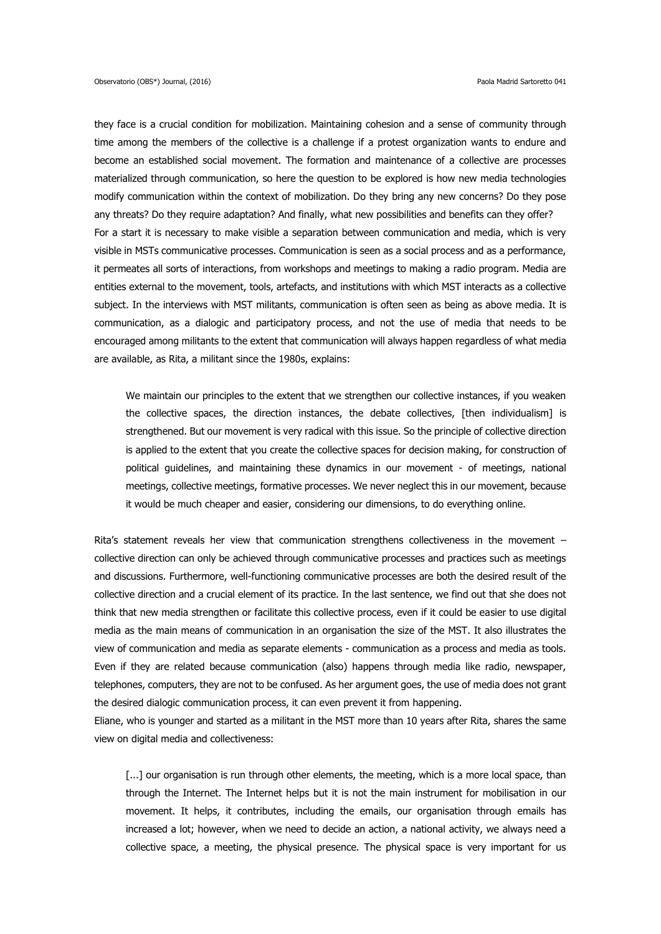they face is a crucial condition for mobilization. Maintaining cohesion and a sense of community through time among the members of the collective is a challenge if a protest organization wants to endure and become an established social movement. The formation and maintenance of a collective are processes materialized through communication, so here the question to be explored is how new media technologies modify communication within the context of mobilization. Do they bring any new concerns? Do they pose any threats? Do they require adaptation? And finally, what new possibilities and benefits can they offer? For a start it is necessary to make visible a separation between communication and media, which is very visible in MSTs communicative processes. Communication is seen as a social process and as a performance, it permeates all sorts of interactions, from workshops and meetings to making a radio program. Media are entities external to the movement, tools, artefacts, and institutions with which MST interacts as a collective subject. In the interviews with MST militants, communication is often seen as being as above media. It is communication, as a dialogic and participatory process, and not the use of media that needs to be encouraged among militants to the extent that communication will always happen regardless of what media are available, as Rita, a militant since the 1980s, explains:

We maintain our principles to the extent that we strengthen our collective instances, if you weaken the collective spaces, the direction instances, the debate collectives, [then individualism] is strengthened. But our movement is very radical with this issue. So the principle of collective direction is applied to the extent that you create the collective spaces for decision making, for construction of political guidelines, and maintaining these dynamics in our movement - of meetings, national meetings, collective meetings, formative processes. We never neglect this in our movement, because it would be much cheaper and easier, considering our dimensions, to do everything online.

Rita's statement reveals her view that communication strengthens collectiveness in the movement collective direction can only be achieved through communicative processes and practices such as meetings and discussions. Furthermore, well-functioning communicative processes are both the desired result of the collective direction and a crucial element of its practice. In the last sentence, we find out that she does not think that new media strengthen or facilitate this collective process, even if it could be easier to use digital media as the main means of communication in an organisation the size of the MST. It also illustrates the view of communication and media as separate elements - communication as a process and media as tools. Even if they are related because communication (also) happens through media like radio, newspaper, telephones, computers, they are not to be confused. As her argument goes, the use of media does not grant the desired dialogic communication process, it can even prevent it from happening.

Eliane, who is younger and started as a militant in the MST more than 10 years after Rita, shares the same view on digital media and collectiveness:

[...] our organisation is run through other elements, the meeting, which is a more local space, than through the Internet. The Internet helps but it is not the main instrument for mobilisation in our movement. It helps, it contributes, including the emails, our organisation through emails has increased a lot; however, when we need to decide an action, a national activity, we always need a collective space, a meeting, the physical presence. The physical space is very important for us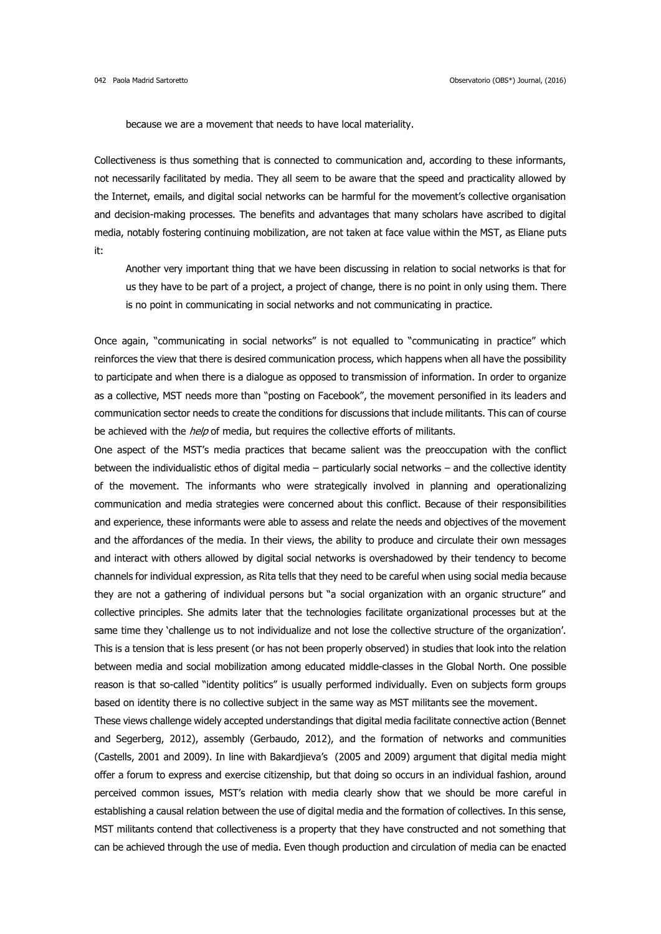because we are a movement that needs to have local materiality.

Collectiveness is thus something that is connected to communication and, according to these informants, not necessarily facilitated by media. They all seem to be aware that the speed and practicality allowed by the Internet, emails, and digital social networks can be harmful for the movement's collective organisation and decision-making processes. The benefits and advantages that many scholars have ascribed to digital media, notably fostering continuing mobilization, are not taken at face value within the MST, as Eliane puts it:

Another very important thing that we have been discussing in relation to social networks is that for us they have to be part of a project, a project of change, there is no point in only using them. There is no point in communicating in social networks and not communicating in practice.

Once again, "communicating in social networks" is not equalled to "communicating in practice" which reinforces the view that there is desired communication process, which happens when all have the possibility to participate and when there is a dialogue as opposed to transmission of information. In order to organize as a collective, MST needs more than "posting on Facebook", the movement personified in its leaders and communication sector needs to create the conditions for discussions that include militants. This can of course be achieved with the *help* of media, but requires the collective efforts of militants.

One aspect of the MST's media practices that became salient was the preoccupation with the conflict between the individualistic ethos of digital media – particularly social networks – and the collective identity of the movement. The informants who were strategically involved in planning and operationalizing communication and media strategies were concerned about this conflict. Because of their responsibilities and experience, these informants were able to assess and relate the needs and objectives of the movement and the affordances of the media. In their views, the ability to produce and circulate their own messages and interact with others allowed by digital social networks is overshadowed by their tendency to become channels for individual expression, as Rita tells that they need to be careful when using social media because they are not a gathering of individual persons but "a social organization with an organic structure" and collective principles. She admits later that the technologies facilitate organizational processes but at the same time they 'challenge us to not individualize and not lose the collective structure of the organization'. This is a tension that is less present (or has not been properly observed) in studies that look into the relation between media and social mobilization among educated middle-classes in the Global North. One possible reason is that so-called "identity politics" is usually performed individually. Even on subjects form groups based on identity there is no collective subject in the same way as MST militants see the movement.

These views challenge widely accepted understandings that digital media facilitate connective action (Bennet and Segerberg, 2012), assembly (Gerbaudo, 2012), and the formation of networks and communities (Castells, 2001 and 2009). In line with Bakardjieva's (2005 and 2009) argument that digital media might offer a forum to express and exercise citizenship, but that doing so occurs in an individual fashion, around perceived common issues, MST's relation with media clearly show that we should be more careful in establishing a causal relation between the use of digital media and the formation of collectives. In this sense, MST militants contend that collectiveness is a property that they have constructed and not something that can be achieved through the use of media. Even though production and circulation of media can be enacted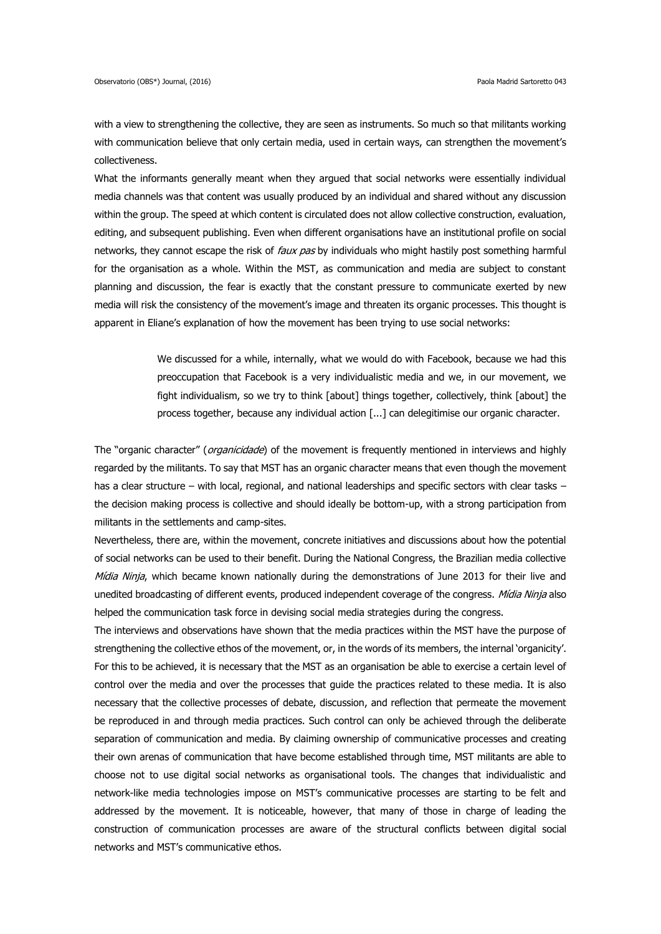with a view to strengthening the collective, they are seen as instruments. So much so that militants working with communication believe that only certain media, used in certain ways, can strengthen the movement's collectiveness.

What the informants generally meant when they argued that social networks were essentially individual media channels was that content was usually produced by an individual and shared without any discussion within the group. The speed at which content is circulated does not allow collective construction, evaluation, editing, and subsequent publishing. Even when different organisations have an institutional profile on social networks, they cannot escape the risk of *faux pas* by individuals who might hastily post something harmful for the organisation as a whole. Within the MST, as communication and media are subject to constant planning and discussion, the fear is exactly that the constant pressure to communicate exerted by new media will risk the consistency of the movement's image and threaten its organic processes. This thought is apparent in Eliane's explanation of how the movement has been trying to use social networks:

> We discussed for a while, internally, what we would do with Facebook, because we had this preoccupation that Facebook is a very individualistic media and we, in our movement, we fight individualism, so we try to think [about] things together, collectively, think [about] the process together, because any individual action [...] can delegitimise our organic character.

The "organic character" (organicidade) of the movement is frequently mentioned in interviews and highly regarded by the militants. To say that MST has an organic character means that even though the movement has a clear structure – with local, regional, and national leaderships and specific sectors with clear tasks – the decision making process is collective and should ideally be bottom-up, with a strong participation from militants in the settlements and camp-sites.

Nevertheless, there are, within the movement, concrete initiatives and discussions about how the potential of social networks can be used to their benefit. During the National Congress, the Brazilian media collective Mídia Ninja, which became known nationally during the demonstrations of June 2013 for their live and unedited broadcasting of different events, produced independent coverage of the congress. Mídia Ninja also helped the communication task force in devising social media strategies during the congress.

The interviews and observations have shown that the media practices within the MST have the purpose of strengthening the collective ethos of the movement, or, in the words of its members, the internal 'organicity'. For this to be achieved, it is necessary that the MST as an organisation be able to exercise a certain level of control over the media and over the processes that guide the practices related to these media. It is also necessary that the collective processes of debate, discussion, and reflection that permeate the movement be reproduced in and through media practices. Such control can only be achieved through the deliberate separation of communication and media. By claiming ownership of communicative processes and creating their own arenas of communication that have become established through time, MST militants are able to choose not to use digital social networks as organisational tools. The changes that individualistic and network-like media technologies impose on MST's communicative processes are starting to be felt and addressed by the movement. It is noticeable, however, that many of those in charge of leading the construction of communication processes are aware of the structural conflicts between digital social networks and MST's communicative ethos.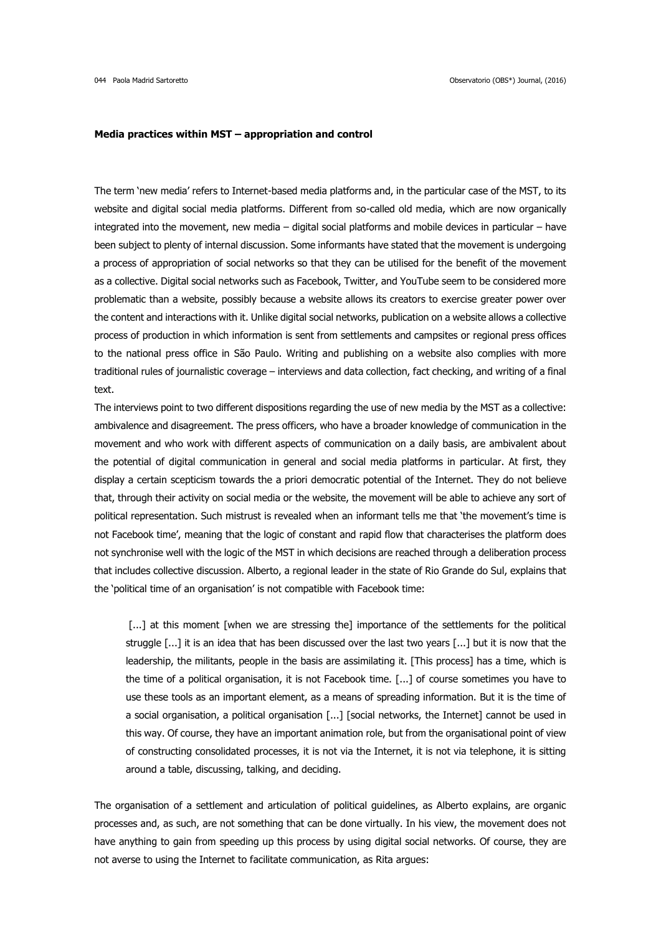#### **Media practices within MST – appropriation and control**

The term 'new media' refers to Internet-based media platforms and, in the particular case of the MST, to its website and digital social media platforms. Different from so-called old media, which are now organically integrated into the movement, new media – digital social platforms and mobile devices in particular – have been subject to plenty of internal discussion. Some informants have stated that the movement is undergoing a process of appropriation of social networks so that they can be utilised for the benefit of the movement as a collective. Digital social networks such as Facebook, Twitter, and YouTube seem to be considered more problematic than a website, possibly because a website allows its creators to exercise greater power over the content and interactions with it. Unlike digital social networks, publication on a website allows a collective process of production in which information is sent from settlements and campsites or regional press offices to the national press office in São Paulo. Writing and publishing on a website also complies with more traditional rules of journalistic coverage – interviews and data collection, fact checking, and writing of a final text.

The interviews point to two different dispositions regarding the use of new media by the MST as a collective: ambivalence and disagreement. The press officers, who have a broader knowledge of communication in the movement and who work with different aspects of communication on a daily basis, are ambivalent about the potential of digital communication in general and social media platforms in particular. At first, they display a certain scepticism towards the a priori democratic potential of the Internet. They do not believe that, through their activity on social media or the website, the movement will be able to achieve any sort of political representation. Such mistrust is revealed when an informant tells me that 'the movement's time is not Facebook time', meaning that the logic of constant and rapid flow that characterises the platform does not synchronise well with the logic of the MST in which decisions are reached through a deliberation process that includes collective discussion. Alberto, a regional leader in the state of Rio Grande do Sul, explains that the 'political time of an organisation' is not compatible with Facebook time:

[...] at this moment [when we are stressing the] importance of the settlements for the political struggle [...] it is an idea that has been discussed over the last two years [...] but it is now that the leadership, the militants, people in the basis are assimilating it. [This process] has a time, which is the time of a political organisation, it is not Facebook time. [...] of course sometimes you have to use these tools as an important element, as a means of spreading information. But it is the time of a social organisation, a political organisation [...] [social networks, the Internet] cannot be used in this way. Of course, they have an important animation role, but from the organisational point of view of constructing consolidated processes, it is not via the Internet, it is not via telephone, it is sitting around a table, discussing, talking, and deciding.

The organisation of a settlement and articulation of political guidelines, as Alberto explains, are organic processes and, as such, are not something that can be done virtually. In his view, the movement does not have anything to gain from speeding up this process by using digital social networks. Of course, they are not averse to using the Internet to facilitate communication, as Rita argues: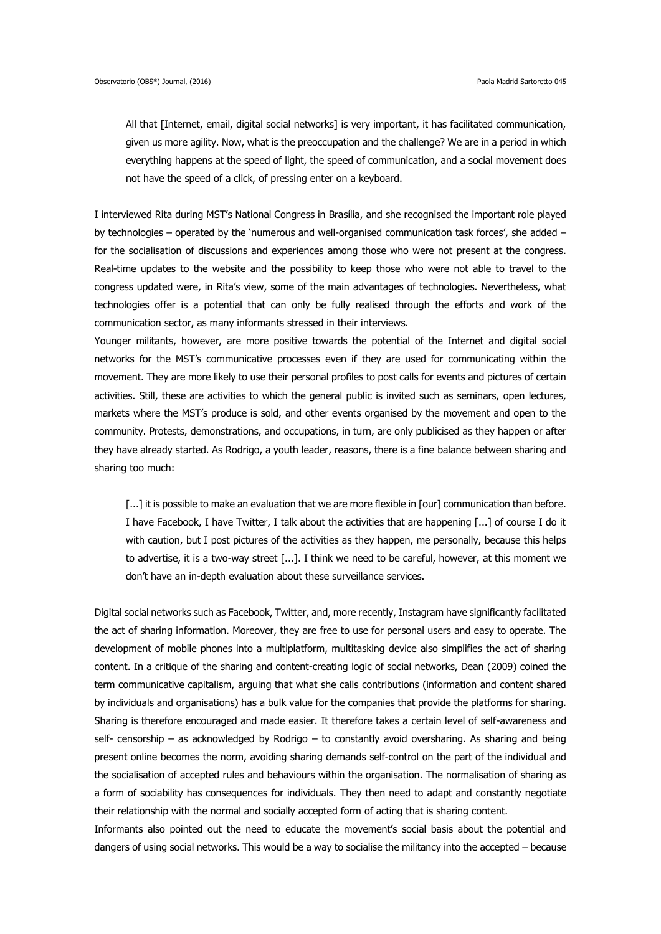All that [Internet, email, digital social networks] is very important, it has facilitated communication, given us more agility. Now, what is the preoccupation and the challenge? We are in a period in which everything happens at the speed of light, the speed of communication, and a social movement does not have the speed of a click, of pressing enter on a keyboard.

I interviewed Rita during MST's National Congress in Brasília, and she recognised the important role played by technologies – operated by the 'numerous and well-organised communication task forces', she added – for the socialisation of discussions and experiences among those who were not present at the congress. Real-time updates to the website and the possibility to keep those who were not able to travel to the congress updated were, in Rita's view, some of the main advantages of technologies. Nevertheless, what technologies offer is a potential that can only be fully realised through the efforts and work of the communication sector, as many informants stressed in their interviews.

Younger militants, however, are more positive towards the potential of the Internet and digital social networks for the MST's communicative processes even if they are used for communicating within the movement. They are more likely to use their personal profiles to post calls for events and pictures of certain activities. Still, these are activities to which the general public is invited such as seminars, open lectures, markets where the MST's produce is sold, and other events organised by the movement and open to the community. Protests, demonstrations, and occupations, in turn, are only publicised as they happen or after they have already started. As Rodrigo, a youth leader, reasons, there is a fine balance between sharing and sharing too much:

[...] it is possible to make an evaluation that we are more flexible in [our] communication than before. I have Facebook, I have Twitter, I talk about the activities that are happening [...] of course I do it with caution, but I post pictures of the activities as they happen, me personally, because this helps to advertise, it is a two-way street [...]. I think we need to be careful, however, at this moment we don't have an in-depth evaluation about these surveillance services.

Digital social networks such as Facebook, Twitter, and, more recently, Instagram have significantly facilitated the act of sharing information. Moreover, they are free to use for personal users and easy to operate. The development of mobile phones into a multiplatform, multitasking device also simplifies the act of sharing content. In a critique of the sharing and content-creating logic of social networks, Dean (2009) coined the term communicative capitalism, arguing that what she calls contributions (information and content shared by individuals and organisations) has a bulk value for the companies that provide the platforms for sharing. Sharing is therefore encouraged and made easier. It therefore takes a certain level of self-awareness and self- censorship – as acknowledged by Rodrigo – to constantly avoid oversharing. As sharing and being present online becomes the norm, avoiding sharing demands self-control on the part of the individual and the socialisation of accepted rules and behaviours within the organisation. The normalisation of sharing as a form of sociability has consequences for individuals. They then need to adapt and constantly negotiate their relationship with the normal and socially accepted form of acting that is sharing content.

Informants also pointed out the need to educate the movement's social basis about the potential and dangers of using social networks. This would be a way to socialise the militancy into the accepted – because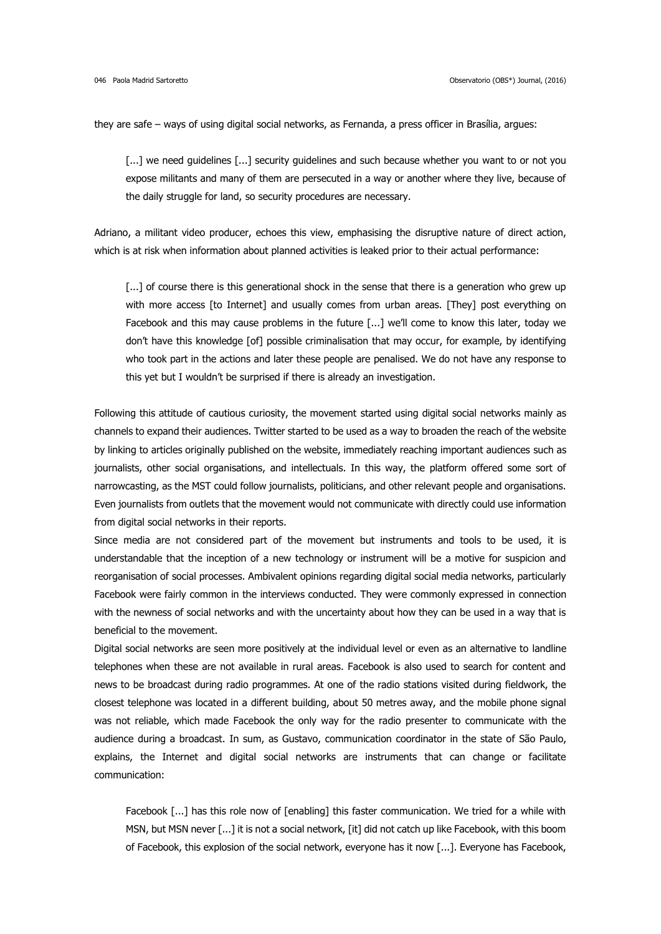they are safe – ways of using digital social networks, as Fernanda, a press officer in Brasília, argues:

[...] we need guidelines [...] security guidelines and such because whether you want to or not you expose militants and many of them are persecuted in a way or another where they live, because of the daily struggle for land, so security procedures are necessary.

Adriano, a militant video producer, echoes this view, emphasising the disruptive nature of direct action, which is at risk when information about planned activities is leaked prior to their actual performance:

[...] of course there is this generational shock in the sense that there is a generation who grew up with more access [to Internet] and usually comes from urban areas. [They] post everything on Facebook and this may cause problems in the future [...] we'll come to know this later, today we don't have this knowledge [of] possible criminalisation that may occur, for example, by identifying who took part in the actions and later these people are penalised. We do not have any response to this yet but I wouldn't be surprised if there is already an investigation.

Following this attitude of cautious curiosity, the movement started using digital social networks mainly as channels to expand their audiences. Twitter started to be used as a way to broaden the reach of the website by linking to articles originally published on the website, immediately reaching important audiences such as journalists, other social organisations, and intellectuals. In this way, the platform offered some sort of narrowcasting, as the MST could follow journalists, politicians, and other relevant people and organisations. Even journalists from outlets that the movement would not communicate with directly could use information from digital social networks in their reports.

Since media are not considered part of the movement but instruments and tools to be used, it is understandable that the inception of a new technology or instrument will be a motive for suspicion and reorganisation of social processes. Ambivalent opinions regarding digital social media networks, particularly Facebook were fairly common in the interviews conducted. They were commonly expressed in connection with the newness of social networks and with the uncertainty about how they can be used in a way that is beneficial to the movement.

Digital social networks are seen more positively at the individual level or even as an alternative to landline telephones when these are not available in rural areas. Facebook is also used to search for content and news to be broadcast during radio programmes. At one of the radio stations visited during fieldwork, the closest telephone was located in a different building, about 50 metres away, and the mobile phone signal was not reliable, which made Facebook the only way for the radio presenter to communicate with the audience during a broadcast. In sum, as Gustavo, communication coordinator in the state of São Paulo, explains, the Internet and digital social networks are instruments that can change or facilitate communication:

Facebook [...] has this role now of [enabling] this faster communication. We tried for a while with MSN, but MSN never [...] it is not a social network, [it] did not catch up like Facebook, with this boom of Facebook, this explosion of the social network, everyone has it now [...]. Everyone has Facebook,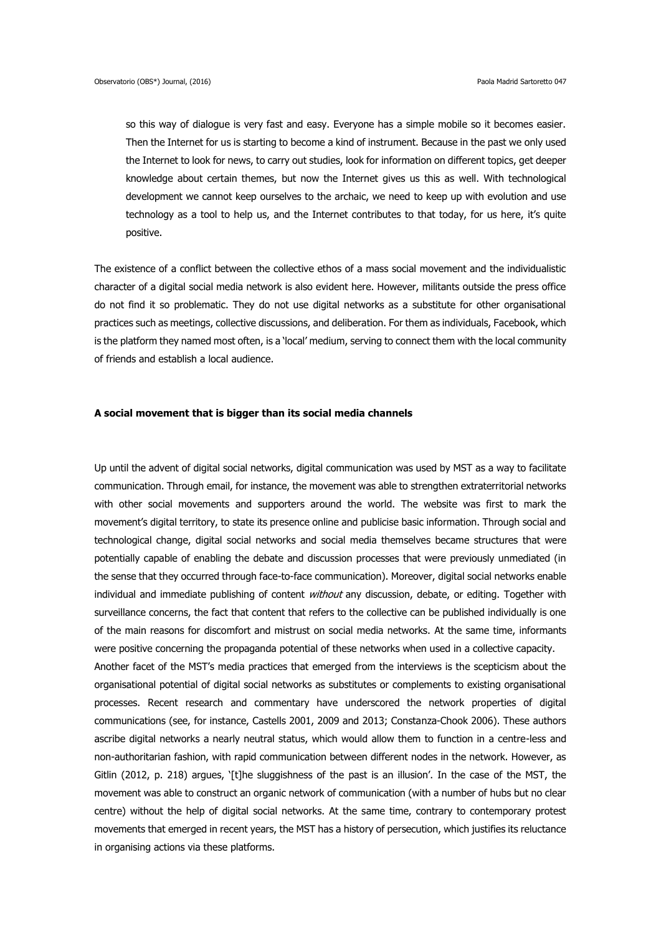so this way of dialogue is very fast and easy. Everyone has a simple mobile so it becomes easier. Then the Internet for us is starting to become a kind of instrument. Because in the past we only used the Internet to look for news, to carry out studies, look for information on different topics, get deeper knowledge about certain themes, but now the Internet gives us this as well. With technological development we cannot keep ourselves to the archaic, we need to keep up with evolution and use technology as a tool to help us, and the Internet contributes to that today, for us here, it's quite positive.

The existence of a conflict between the collective ethos of a mass social movement and the individualistic character of a digital social media network is also evident here. However, militants outside the press office do not find it so problematic. They do not use digital networks as a substitute for other organisational practices such as meetings, collective discussions, and deliberation. For them as individuals, Facebook, which is the platform they named most often, is a 'local' medium, serving to connect them with the local community of friends and establish a local audience.

#### **A social movement that is bigger than its social media channels**

Up until the advent of digital social networks, digital communication was used by MST as a way to facilitate communication. Through email, for instance, the movement was able to strengthen extraterritorial networks with other social movements and supporters around the world. The website was first to mark the movement's digital territory, to state its presence online and publicise basic information. Through social and technological change, digital social networks and social media themselves became structures that were potentially capable of enabling the debate and discussion processes that were previously unmediated (in the sense that they occurred through face-to-face communication). Moreover, digital social networks enable individual and immediate publishing of content *without* any discussion, debate, or editing. Together with surveillance concerns, the fact that content that refers to the collective can be published individually is one of the main reasons for discomfort and mistrust on social media networks. At the same time, informants were positive concerning the propaganda potential of these networks when used in a collective capacity. Another facet of the MST's media practices that emerged from the interviews is the scepticism about the organisational potential of digital social networks as substitutes or complements to existing organisational processes. Recent research and commentary have underscored the network properties of digital communications (see, for instance, Castells 2001, 2009 and 2013; Constanza-Chook 2006). These authors ascribe digital networks a nearly neutral status, which would allow them to function in a centre-less and non-authoritarian fashion, with rapid communication between different nodes in the network. However, as Gitlin (2012, p. 218) argues, '[t]he sluggishness of the past is an illusion'. In the case of the MST, the

centre) without the help of digital social networks. At the same time, contrary to contemporary protest movements that emerged in recent years, the MST has a history of persecution, which justifies its reluctance in organising actions via these platforms.

movement was able to construct an organic network of communication (with a number of hubs but no clear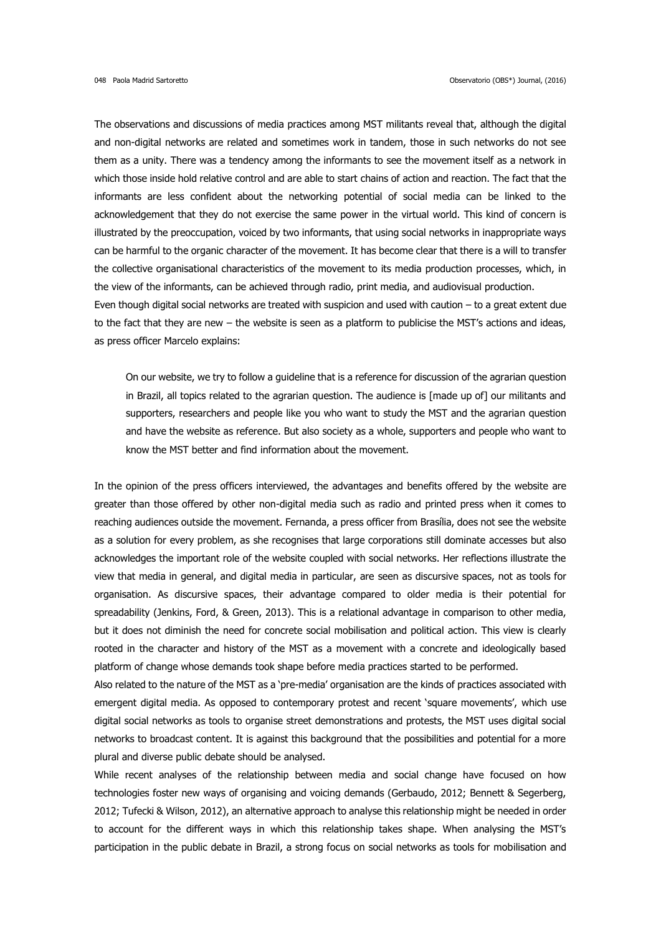The observations and discussions of media practices among MST militants reveal that, although the digital and non-digital networks are related and sometimes work in tandem, those in such networks do not see them as a unity. There was a tendency among the informants to see the movement itself as a network in which those inside hold relative control and are able to start chains of action and reaction. The fact that the informants are less confident about the networking potential of social media can be linked to the acknowledgement that they do not exercise the same power in the virtual world. This kind of concern is illustrated by the preoccupation, voiced by two informants, that using social networks in inappropriate ways can be harmful to the organic character of the movement. It has become clear that there is a will to transfer the collective organisational characteristics of the movement to its media production processes, which, in the view of the informants, can be achieved through radio, print media, and audiovisual production. Even though digital social networks are treated with suspicion and used with caution – to a great extent due to the fact that they are new – the website is seen as a platform to publicise the MST's actions and ideas,

as press officer Marcelo explains:

On our website, we try to follow a guideline that is a reference for discussion of the agrarian question in Brazil, all topics related to the agrarian question. The audience is [made up of] our militants and supporters, researchers and people like you who want to study the MST and the agrarian question and have the website as reference. But also society as a whole, supporters and people who want to know the MST better and find information about the movement.

In the opinion of the press officers interviewed, the advantages and benefits offered by the website are greater than those offered by other non-digital media such as radio and printed press when it comes to reaching audiences outside the movement. Fernanda, a press officer from Brasília, does not see the website as a solution for every problem, as she recognises that large corporations still dominate accesses but also acknowledges the important role of the website coupled with social networks. Her reflections illustrate the view that media in general, and digital media in particular, are seen as discursive spaces, not as tools for organisation. As discursive spaces, their advantage compared to older media is their potential for spreadability (Jenkins, Ford, & Green, 2013). This is a relational advantage in comparison to other media, but it does not diminish the need for concrete social mobilisation and political action. This view is clearly rooted in the character and history of the MST as a movement with a concrete and ideologically based platform of change whose demands took shape before media practices started to be performed.

Also related to the nature of the MST as a 'pre-media' organisation are the kinds of practices associated with emergent digital media. As opposed to contemporary protest and recent 'square movements', which use digital social networks as tools to organise street demonstrations and protests, the MST uses digital social networks to broadcast content. It is against this background that the possibilities and potential for a more plural and diverse public debate should be analysed.

While recent analyses of the relationship between media and social change have focused on how technologies foster new ways of organising and voicing demands (Gerbaudo, 2012; Bennett & Segerberg, 2012; Tufecki & Wilson, 2012), an alternative approach to analyse this relationship might be needed in order to account for the different ways in which this relationship takes shape. When analysing the MST's participation in the public debate in Brazil, a strong focus on social networks as tools for mobilisation and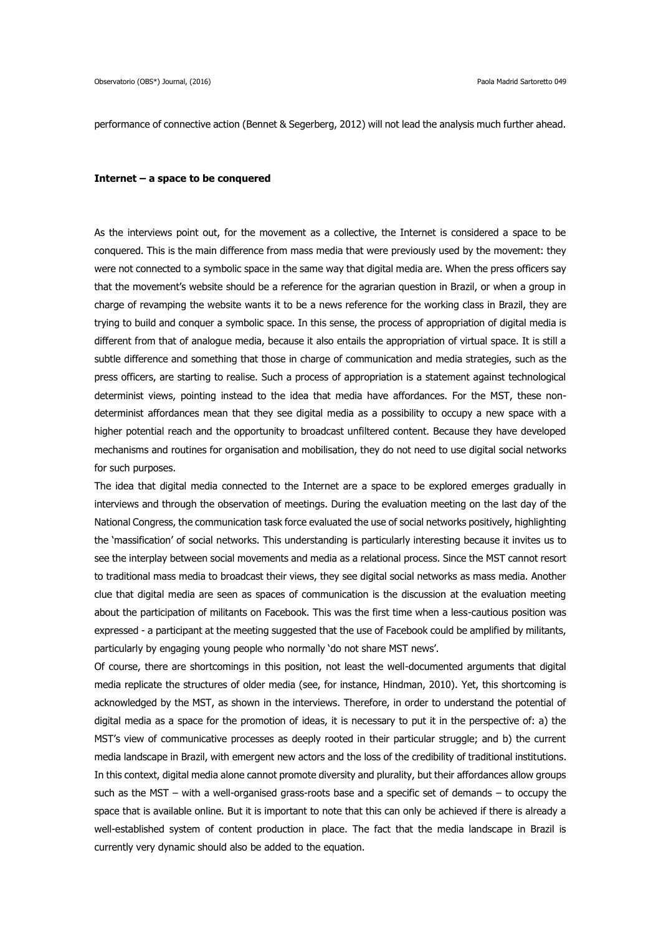performance of connective action (Bennet & Segerberg, 2012) will not lead the analysis much further ahead.

#### **Internet – a space to be conquered**

As the interviews point out, for the movement as a collective, the Internet is considered a space to be conquered. This is the main difference from mass media that were previously used by the movement: they were not connected to a symbolic space in the same way that digital media are. When the press officers say that the movement's website should be a reference for the agrarian question in Brazil, or when a group in charge of revamping the website wants it to be a news reference for the working class in Brazil, they are trying to build and conquer a symbolic space. In this sense, the process of appropriation of digital media is different from that of analogue media, because it also entails the appropriation of virtual space. It is still a subtle difference and something that those in charge of communication and media strategies, such as the press officers, are starting to realise. Such a process of appropriation is a statement against technological determinist views, pointing instead to the idea that media have affordances. For the MST, these nondeterminist affordances mean that they see digital media as a possibility to occupy a new space with a higher potential reach and the opportunity to broadcast unfiltered content. Because they have developed mechanisms and routines for organisation and mobilisation, they do not need to use digital social networks for such purposes.

The idea that digital media connected to the Internet are a space to be explored emerges gradually in interviews and through the observation of meetings. During the evaluation meeting on the last day of the National Congress, the communication task force evaluated the use of social networks positively, highlighting the 'massification' of social networks. This understanding is particularly interesting because it invites us to see the interplay between social movements and media as a relational process. Since the MST cannot resort to traditional mass media to broadcast their views, they see digital social networks as mass media. Another clue that digital media are seen as spaces of communication is the discussion at the evaluation meeting about the participation of militants on Facebook. This was the first time when a less-cautious position was expressed - a participant at the meeting suggested that the use of Facebook could be amplified by militants, particularly by engaging young people who normally 'do not share MST news'.

Of course, there are shortcomings in this position, not least the well-documented arguments that digital media replicate the structures of older media (see, for instance, Hindman, 2010). Yet, this shortcoming is acknowledged by the MST, as shown in the interviews. Therefore, in order to understand the potential of digital media as a space for the promotion of ideas, it is necessary to put it in the perspective of: a) the MST's view of communicative processes as deeply rooted in their particular struggle; and b) the current media landscape in Brazil, with emergent new actors and the loss of the credibility of traditional institutions. In this context, digital media alone cannot promote diversity and plurality, but their affordances allow groups such as the MST – with a well-organised grass-roots base and a specific set of demands – to occupy the space that is available online. But it is important to note that this can only be achieved if there is already a well-established system of content production in place. The fact that the media landscape in Brazil is currently very dynamic should also be added to the equation.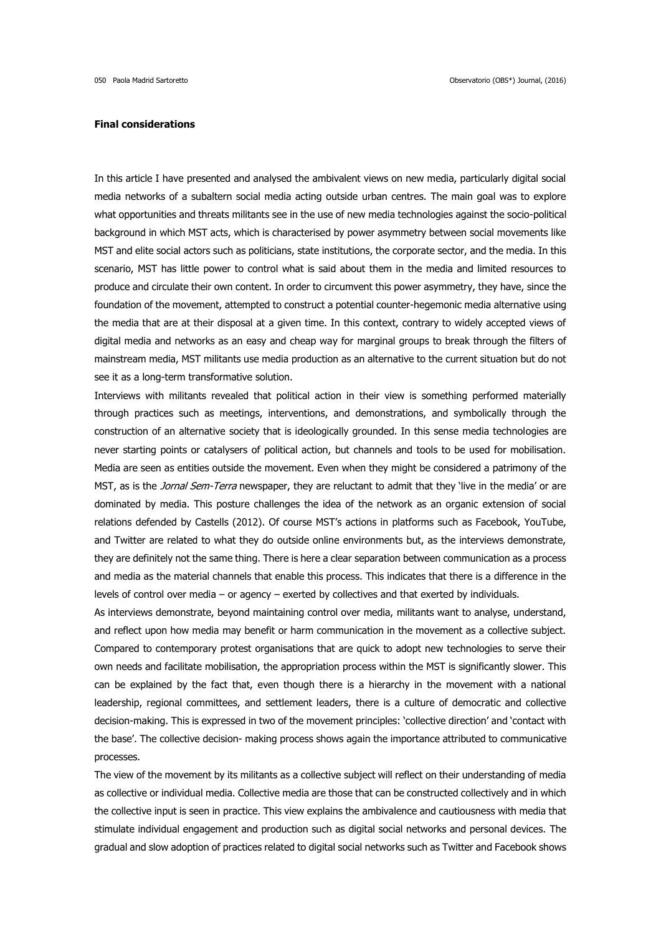## **Final considerations**

In this article I have presented and analysed the ambivalent views on new media, particularly digital social media networks of a subaltern social media acting outside urban centres. The main goal was to explore what opportunities and threats militants see in the use of new media technologies against the socio-political background in which MST acts, which is characterised by power asymmetry between social movements like MST and elite social actors such as politicians, state institutions, the corporate sector, and the media. In this scenario, MST has little power to control what is said about them in the media and limited resources to produce and circulate their own content. In order to circumvent this power asymmetry, they have, since the foundation of the movement, attempted to construct a potential counter-hegemonic media alternative using the media that are at their disposal at a given time. In this context, contrary to widely accepted views of digital media and networks as an easy and cheap way for marginal groups to break through the filters of mainstream media, MST militants use media production as an alternative to the current situation but do not see it as a long-term transformative solution.

Interviews with militants revealed that political action in their view is something performed materially through practices such as meetings, interventions, and demonstrations, and symbolically through the construction of an alternative society that is ideologically grounded. In this sense media technologies are never starting points or catalysers of political action, but channels and tools to be used for mobilisation. Media are seen as entities outside the movement. Even when they might be considered a patrimony of the MST, as is the *Jornal Sem-Terra* newspaper, they are reluctant to admit that they 'live in the media' or are dominated by media. This posture challenges the idea of the network as an organic extension of social relations defended by Castells (2012). Of course MST's actions in platforms such as Facebook, YouTube, and Twitter are related to what they do outside online environments but, as the interviews demonstrate, they are definitely not the same thing. There is here a clear separation between communication as a process and media as the material channels that enable this process. This indicates that there is a difference in the levels of control over media – or agency – exerted by collectives and that exerted by individuals.

As interviews demonstrate, beyond maintaining control over media, militants want to analyse, understand, and reflect upon how media may benefit or harm communication in the movement as a collective subject. Compared to contemporary protest organisations that are quick to adopt new technologies to serve their own needs and facilitate mobilisation, the appropriation process within the MST is significantly slower. This can be explained by the fact that, even though there is a hierarchy in the movement with a national leadership, regional committees, and settlement leaders, there is a culture of democratic and collective decision-making. This is expressed in two of the movement principles: 'collective direction' and 'contact with the base'. The collective decision- making process shows again the importance attributed to communicative processes.

The view of the movement by its militants as a collective subject will reflect on their understanding of media as collective or individual media. Collective media are those that can be constructed collectively and in which the collective input is seen in practice. This view explains the ambivalence and cautiousness with media that stimulate individual engagement and production such as digital social networks and personal devices. The gradual and slow adoption of practices related to digital social networks such as Twitter and Facebook shows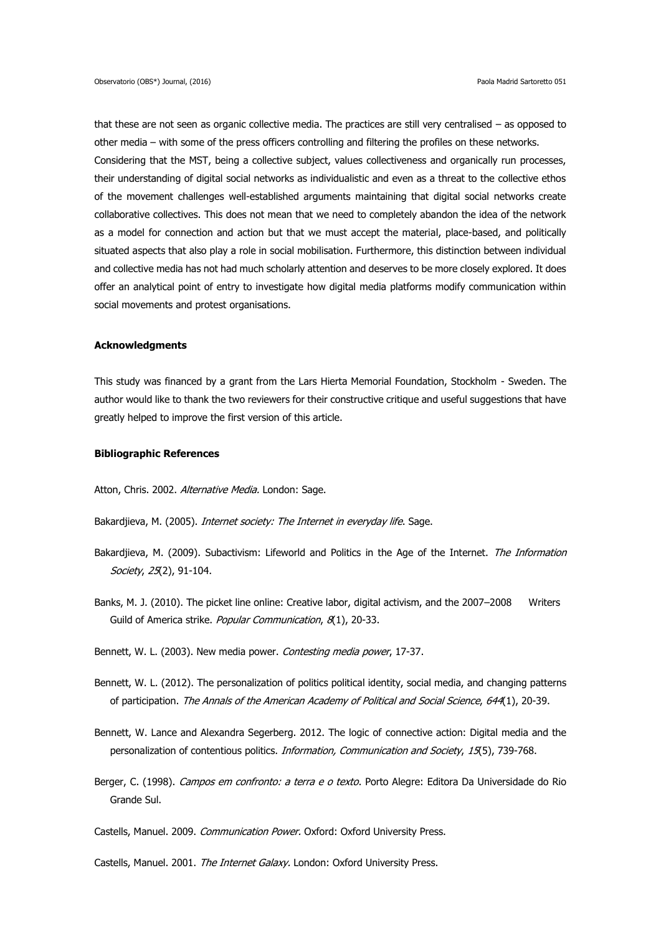that these are not seen as organic collective media. The practices are still very centralised – as opposed to other media – with some of the press officers controlling and filtering the profiles on these networks. Considering that the MST, being a collective subject, values collectiveness and organically run processes, their understanding of digital social networks as individualistic and even as a threat to the collective ethos of the movement challenges well-established arguments maintaining that digital social networks create collaborative collectives. This does not mean that we need to completely abandon the idea of the network as a model for connection and action but that we must accept the material, place-based, and politically situated aspects that also play a role in social mobilisation. Furthermore, this distinction between individual and collective media has not had much scholarly attention and deserves to be more closely explored. It does offer an analytical point of entry to investigate how digital media platforms modify communication within social movements and protest organisations.

## **Acknowledgments**

This study was financed by a grant from the Lars Hierta Memorial Foundation, Stockholm - Sweden. The author would like to thank the two reviewers for their constructive critique and useful suggestions that have greatly helped to improve the first version of this article.

#### **Bibliographic References**

Atton, Chris. 2002. Alternative Media. London: Sage.

Bakardjieva, M. (2005). Internet society: The Internet in everyday life. Sage.

- Bakardjieva, M. (2009). Subactivism: Lifeworld and Politics in the Age of the Internet. The Information Society, 25(2), 91-104.
- Banks, M. J. (2010). The picket line online: Creative labor, digital activism, and the 2007–2008 Writers Guild of America strike. Popular Communication, 8(1), 20-33.

Bennett, W. L. (2003). New media power. Contesting media power, 17-37.

- Bennett, W. L. (2012). The personalization of politics political identity, social media, and changing patterns of participation. The Annals of the American Academy of Political and Social Science, 644(1), 20-39.
- Bennett, W. Lance and Alexandra Segerberg. 2012. The logic of connective action: Digital media and the personalization of contentious politics. *Information, Communication and Society, 15*(5), 739-768.
- Berger, C. (1998). Campos em confronto: a terra e o texto. Porto Alegre: Editora Da Universidade do Rio Grande Sul.

Castells, Manuel. 2009. Communication Power. Oxford: Oxford University Press.

Castells, Manuel. 2001. The Internet Galaxy. London: Oxford University Press.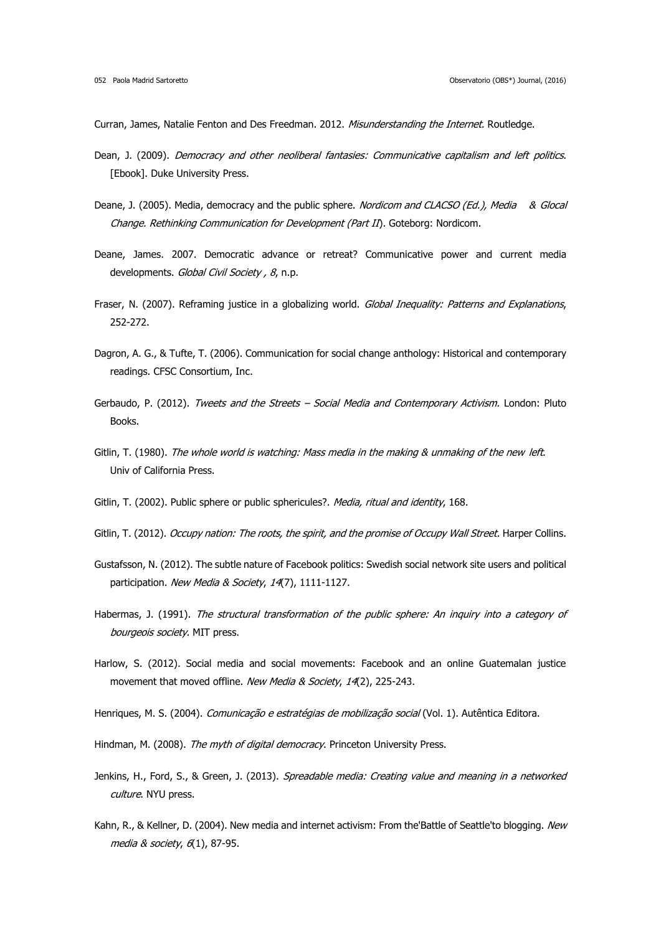Curran, James, Natalie Fenton and Des Freedman. 2012. Misunderstanding the Internet. Routledge.

- Dean, J. (2009). Democracy and other neoliberal fantasies: Communicative capitalism and left politics. [Ebook]. Duke University Press.
- Deane, J. (2005). Media, democracy and the public sphere. Nordicom and CLACSO (Ed.), Media & Glocal Change. Rethinking Communication for Development (Part II). Goteborg: Nordicom.
- Deane, James. 2007. Democratic advance or retreat? Communicative power and current media developments. Global Civil Society, 8, n.p.
- Fraser, N. (2007). Reframing justice in a globalizing world. Global Inequality: Patterns and Explanations, 252-272.
- Dagron, A. G., & Tufte, T. (2006). Communication for social change anthology: Historical and contemporary readings. CFSC Consortium, Inc.
- Gerbaudo, P. (2012). Tweets and the Streets Social Media and Contemporary Activism. London: Pluto Books.
- Gitlin, T. (1980). The whole world is watching: Mass media in the making & unmaking of the new left. Univ of California Press.
- Gitlin, T. (2002). Public sphere or public sphericules?. Media, ritual and identity, 168.
- Gitlin, T. (2012). Occupy nation: The roots, the spirit, and the promise of Occupy Wall Street. Harper Collins.
- Gustafsson, N. (2012). The subtle nature of Facebook politics: Swedish social network site users and political participation. New Media & Society, 14(7), 1111-1127.
- Habermas, J. (1991). The structural transformation of the public sphere: An inquiry into a category of bourgeois society. MIT press.
- Harlow, S. (2012). Social media and social movements: Facebook and an online Guatemalan justice movement that moved offline. New Media & Society, 14(2), 225-243.
- Henriques, M. S. (2004). Comunicação e estratégias de mobilização social (Vol. 1). Autêntica Editora.
- Hindman, M. (2008). The myth of digital democracy. Princeton University Press.
- Jenkins, H., Ford, S., & Green, J. (2013). Spreadable media: Creating value and meaning in a networked culture. NYU press.
- Kahn, R., & Kellner, D. (2004). New media and internet activism: From the'Battle of Seattle'to blogging. New media & society, 6(1), 87-95.